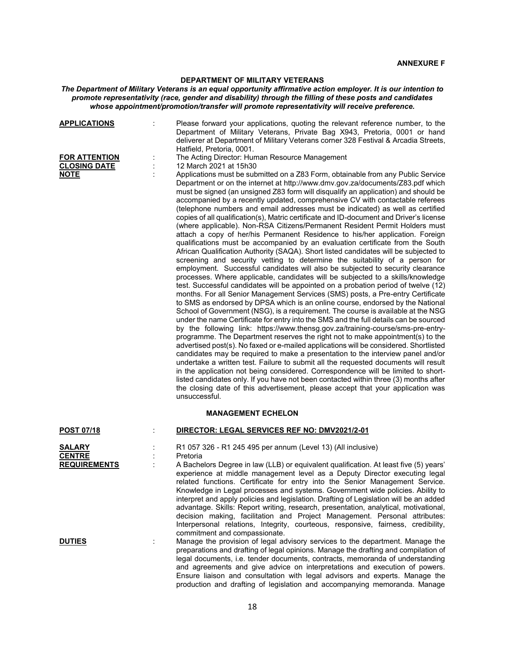# **DEPARTMENT OF MILITARY VETERANS**

### *The Department of Military Veterans is an equal opportunity affirmative action employer. It is our intention to promote representativity (race, gender and disability) through the filling of these posts and candidates whose appointment/promotion/transfer will promote representativity will receive preference.*

| <b>APPLICATIONS</b>            | Please forward your applications, quoting the relevant reference number, to the<br>Department of Military Veterans, Private Bag X943, Pretoria, 0001 or hand<br>deliverer at Department of Military Veterans corner 328 Festival & Arcadia Streets,<br>Hatfield, Pretoria, 0001.                                                                                                                                                                                                                                                                                                                                                                                                                                                                                                                                                                                                                                                                                                                                                                                                                                                                                                                                                                                                                                                                                                                                                                                                                                                                                                                                                                                                                                                                                                                                                                                                                                                                                                                                                                                                                                                                                                                                                                                                     |
|--------------------------------|--------------------------------------------------------------------------------------------------------------------------------------------------------------------------------------------------------------------------------------------------------------------------------------------------------------------------------------------------------------------------------------------------------------------------------------------------------------------------------------------------------------------------------------------------------------------------------------------------------------------------------------------------------------------------------------------------------------------------------------------------------------------------------------------------------------------------------------------------------------------------------------------------------------------------------------------------------------------------------------------------------------------------------------------------------------------------------------------------------------------------------------------------------------------------------------------------------------------------------------------------------------------------------------------------------------------------------------------------------------------------------------------------------------------------------------------------------------------------------------------------------------------------------------------------------------------------------------------------------------------------------------------------------------------------------------------------------------------------------------------------------------------------------------------------------------------------------------------------------------------------------------------------------------------------------------------------------------------------------------------------------------------------------------------------------------------------------------------------------------------------------------------------------------------------------------------------------------------------------------------------------------------------------------|
| <b>FOR ATTENTION</b>           | The Acting Director: Human Resource Management                                                                                                                                                                                                                                                                                                                                                                                                                                                                                                                                                                                                                                                                                                                                                                                                                                                                                                                                                                                                                                                                                                                                                                                                                                                                                                                                                                                                                                                                                                                                                                                                                                                                                                                                                                                                                                                                                                                                                                                                                                                                                                                                                                                                                                       |
| <b>CLOSING DATE</b>            | 12 March 2021 at 15h30                                                                                                                                                                                                                                                                                                                                                                                                                                                                                                                                                                                                                                                                                                                                                                                                                                                                                                                                                                                                                                                                                                                                                                                                                                                                                                                                                                                                                                                                                                                                                                                                                                                                                                                                                                                                                                                                                                                                                                                                                                                                                                                                                                                                                                                               |
| <b>NOTE</b>                    | Applications must be submitted on a Z83 Form, obtainable from any Public Service<br>Department or on the internet at http://www.dmv.gov.za/documents/Z83.pdf which<br>must be signed (an unsigned Z83 form will disqualify an application) and should be<br>accompanied by a recently updated, comprehensive CV with contactable referees<br>(telephone numbers and email addresses must be indicated) as well as certified<br>copies of all qualification(s), Matric certificate and ID-document and Driver's license<br>(where applicable). Non-RSA Citizens/Permanent Resident Permit Holders must<br>attach a copy of her/his Permanent Residence to his/her application. Foreign<br>qualifications must be accompanied by an evaluation certificate from the South<br>African Qualification Authority (SAQA). Short listed candidates will be subjected to<br>screening and security vetting to determine the suitability of a person for<br>employment. Successful candidates will also be subjected to security clearance<br>processes. Where applicable, candidates will be subjected to a skills/knowledge<br>test. Successful candidates will be appointed on a probation period of twelve (12)<br>months. For all Senior Management Services (SMS) posts, a Pre-entry Certificate<br>to SMS as endorsed by DPSA which is an online course, endorsed by the National<br>School of Government (NSG), is a requirement. The course is available at the NSG<br>under the name Certificate for entry into the SMS and the full details can be sourced<br>by the following link: https://www.thensg.gov.za/training-course/sms-pre-entry-<br>programme. The Department reserves the right not to make appointment(s) to the<br>advertised post(s). No faxed or e-mailed applications will be considered. Shortlisted<br>candidates may be required to make a presentation to the interview panel and/or<br>undertake a written test. Failure to submit all the requested documents will result<br>in the application not being considered. Correspondence will be limited to short-<br>listed candidates only. If you have not been contacted within three (3) months after<br>the closing date of this advertisement, please accept that your application was<br>unsuccessful. |
|                                | <b>MANAGEMENT ECHELON</b>                                                                                                                                                                                                                                                                                                                                                                                                                                                                                                                                                                                                                                                                                                                                                                                                                                                                                                                                                                                                                                                                                                                                                                                                                                                                                                                                                                                                                                                                                                                                                                                                                                                                                                                                                                                                                                                                                                                                                                                                                                                                                                                                                                                                                                                            |
| <b>POST 07/18</b>              | DIRECTOR: LEGAL SERVICES REF NO: DMV2021/2-01                                                                                                                                                                                                                                                                                                                                                                                                                                                                                                                                                                                                                                                                                                                                                                                                                                                                                                                                                                                                                                                                                                                                                                                                                                                                                                                                                                                                                                                                                                                                                                                                                                                                                                                                                                                                                                                                                                                                                                                                                                                                                                                                                                                                                                        |
| <b>SALARY</b><br><b>CENTRE</b> | R1 057 326 - R1 245 495 per annum (Level 13) (All inclusive)<br>Pretoria                                                                                                                                                                                                                                                                                                                                                                                                                                                                                                                                                                                                                                                                                                                                                                                                                                                                                                                                                                                                                                                                                                                                                                                                                                                                                                                                                                                                                                                                                                                                                                                                                                                                                                                                                                                                                                                                                                                                                                                                                                                                                                                                                                                                             |
| <b>REQUIREMENTS</b>            | A Bachelors Degree in law (LLB) or equivalent qualification. At least five (5) years'                                                                                                                                                                                                                                                                                                                                                                                                                                                                                                                                                                                                                                                                                                                                                                                                                                                                                                                                                                                                                                                                                                                                                                                                                                                                                                                                                                                                                                                                                                                                                                                                                                                                                                                                                                                                                                                                                                                                                                                                                                                                                                                                                                                                |
|                                | experience at middle management level as a Deputy Director executing legal<br>related functions. Certificate for entry into the Senior Management Service.<br>Knowledge in Legal processes and systems. Government wide policies. Ability to<br>interpret and apply policies and legislation. Drafting of Legislation will be an added<br>advantage. Skills: Report writing, research, presentation, analytical, motivational,<br>decision making, facilitation and Project Management. Personal attributes:<br>Interpersonal relations, Integrity, courteous, responsive, fairness, credibility,<br>commitment and compassionate.                                                                                                                                                                                                                                                                                                                                                                                                                                                                                                                                                                                                                                                                                                                                                                                                                                                                                                                                                                                                                                                                                                                                                                                                                                                                                                                                                                                                                                                                                                                                                                                                                                                   |
| <b>DUTIES</b>                  | Manage the provision of legal advisory services to the department. Manage the<br>preparations and drafting of legal opinions. Manage the drafting and compilation of<br>legal documents, i.e. tender documents, contracts, memoranda of understanding<br>and agreements and give advice on interpretations and execution of powers.                                                                                                                                                                                                                                                                                                                                                                                                                                                                                                                                                                                                                                                                                                                                                                                                                                                                                                                                                                                                                                                                                                                                                                                                                                                                                                                                                                                                                                                                                                                                                                                                                                                                                                                                                                                                                                                                                                                                                  |

Ensure liaison and consultation with legal advisors and experts. Manage the production and drafting of legislation and accompanying memoranda. Manage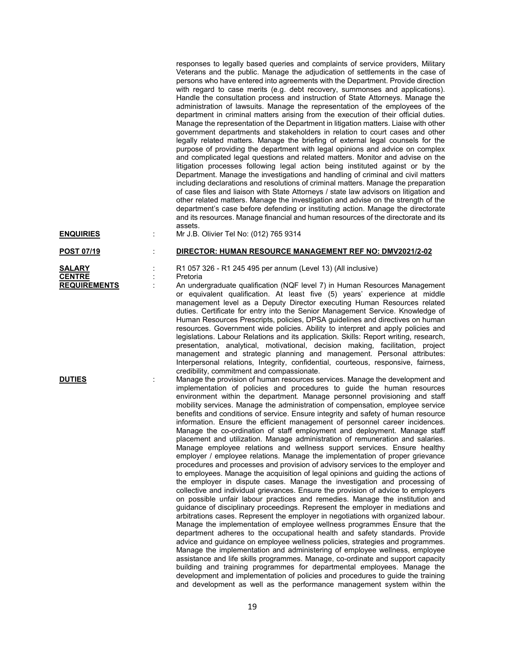responses to legally based queries and complaints of service providers, Military Veterans and the public. Manage the adjudication of settlements in the case of persons who have entered into agreements with the Department. Provide direction with regard to case merits (e.g. debt recovery, summonses and applications). Handle the consultation process and instruction of State Attorneys. Manage the administration of lawsuits. Manage the representation of the employees of the department in criminal matters arising from the execution of their official duties. Manage the representation of the Department in litigation matters. Liaise with other government departments and stakeholders in relation to court cases and other legally related matters. Manage the briefing of external legal counsels for the purpose of providing the department with legal opinions and advice on complex and complicated legal questions and related matters. Monitor and advise on the litigation processes following legal action being instituted against or by the Department. Manage the investigations and handling of criminal and civil matters including declarations and resolutions of criminal matters. Manage the preparation of case files and liaison with State Attorneys / state law advisors on litigation and other related matters. Manage the investigation and advise on the strength of the department's case before defending or instituting action. Manage the directorate and its resources. Manage financial and human resources of the directorate and its assets.

**ENQUIRIES** : Mr J.B. Olivier Tel No: (012) 765 9314

**POST 07/19** : **DIRECTOR: HUMAN RESOURCE MANAGEMENT REF NO: DMV2021/2-02**

# **CENTRE** : Pretoria<br> **REQUIREMENTS** : An unde

**SALARY** : R1 057 326 - R1 245 495 per annum (Level 13) (All inclusive)

: An undergraduate qualification (NQF level 7) in Human Resources Management or equivalent qualification. At least five (5) years' experience at middle management level as a Deputy Director executing Human Resources related duties. Certificate for entry into the Senior Management Service. Knowledge of Human Resources Prescripts, policies, DPSA guidelines and directives on human resources. Government wide policies. Ability to interpret and apply policies and legislations. Labour Relations and its application. Skills: Report writing, research, presentation, analytical, motivational, decision making, facilitation, project management and strategic planning and management. Personal attributes: Interpersonal relations, Integrity, confidential, courteous, responsive, fairness, credibility, commitment and compassionate.

**DUTIES** : Manage the provision of human resources services. Manage the development and implementation of policies and procedures to guide the human resources environment within the department. Manage personnel provisioning and staff mobility services. Manage the administration of compensation, employee service benefits and conditions of service. Ensure integrity and safety of human resource information. Ensure the efficient management of personnel career incidences. Manage the co-ordination of staff employment and deployment. Manage staff placement and utilization. Manage administration of remuneration and salaries. Manage employee relations and wellness support services. Ensure healthy employer / employee relations. Manage the implementation of proper grievance procedures and processes and provision of advisory services to the employer and to employees. Manage the acquisition of legal opinions and guiding the actions of the employer in dispute cases. Manage the investigation and processing of collective and individual grievances. Ensure the provision of advice to employers on possible unfair labour practices and remedies. Manage the institution and guidance of disciplinary proceedings. Represent the employer in mediations and arbitrations cases. Represent the employer in negotiations with organized labour. Manage the implementation of employee wellness programmes Ensure that the department adheres to the occupational health and safety standards. Provide advice and guidance on employee wellness policies, strategies and programmes. Manage the implementation and administering of employee wellness, employee assistance and life skills programmes. Manage, co-ordinate and support capacity building and training programmes for departmental employees. Manage the development and implementation of policies and procedures to guide the training and development as well as the performance management system within the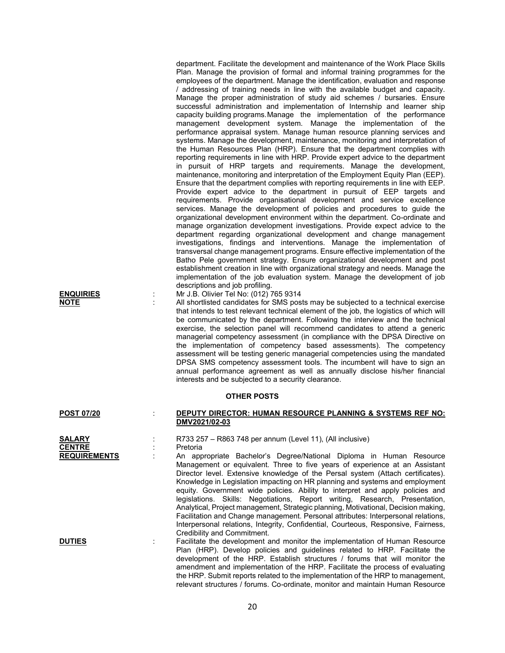| department. Facilitate the development and maintenance of the Work Place Skills   |
|-----------------------------------------------------------------------------------|
| Plan. Manage the provision of formal and informal training programmes for the     |
| employees of the department. Manage the identification, evaluation and response   |
| / addressing of training needs in line with the available budget and capacity.    |
| Manage the proper administration of study aid schemes / bursaries. Ensure         |
| successful administration and implementation of Internship and learner ship       |
| capacity building programs. Manage the implementation of the performance          |
| management development system. Manage the implementation of the                   |
|                                                                                   |
| performance appraisal system. Manage human resource planning services and         |
| systems. Manage the development, maintenance, monitoring and interpretation of    |
| the Human Resources Plan (HRP). Ensure that the department complies with          |
| reporting requirements in line with HRP. Provide expert advice to the department  |
| in pursuit of HRP targets and requirements. Manage the development,               |
| maintenance, monitoring and interpretation of the Employment Equity Plan (EEP).   |
| Ensure that the department complies with reporting requirements in line with EEP. |
| Provide expert advice to the department in pursuit of EEP targets and             |
| requirements. Provide organisational development and service excellence           |
| services. Manage the development of policies and procedures to guide the          |
| organizational development environment within the department. Co-ordinate and     |
| manage organization development investigations. Provide expect advice to the      |
| department regarding organizational development and change management             |
| investigations, findings and interventions. Manage the implementation of          |
| transversal change management programs. Ensure effective implementation of the    |
| Batho Pele government strategy. Ensure organizational development and post        |
| establishment creation in line with organizational strategy and needs. Manage the |
| implementation of the job evaluation system. Manage the development of job        |
| descriptions and job profiling.                                                   |
| $15.011 + 7.11$ $(0.10) - 0.011$                                                  |

# **ENQUIRIES** : Mr J.B. Olivier Tel No: (012) 765 9314

**NOTE** : All shortlisted candidates for SMS posts may be subjected to a technical exercise that intends to test relevant technical element of the job, the logistics of which will be communicated by the department. Following the interview and the technical exercise, the selection panel will recommend candidates to attend a generic managerial competency assessment (in compliance with the DPSA Directive on the implementation of competency based assessments). The competency assessment will be testing generic managerial competencies using the mandated DPSA SMS competency assessment tools. The incumbent will have to sign an annual performance agreement as well as annually disclose his/her financial interests and be subjected to a security clearance.

### **OTHER POSTS**

### **POST 07/20** : **DEPUTY DIRECTOR: HUMAN RESOURCE PLANNING & SYSTEMS REF NO: DMV2021/02-03**

**SALARY** : R733 257 – R863 748 per annum (Level 11), (All inclusive) **CENTRE** : Pretoria

**REQUIREMENTS** : An appropriate Bachelor's Degree/National Diploma in Human Resource Management or equivalent. Three to five years of experience at an Assistant Director level. Extensive knowledge of the Persal system (Attach certificates). Knowledge in Legislation impacting on HR planning and systems and employment equity. Government wide policies. Ability to interpret and apply policies and legislations. Skills: Negotiations, Report writing, Research, Presentation, Analytical, Project management, Strategic planning, Motivational, Decision making, Facilitation and Change management. Personal attributes: Interpersonal relations, Interpersonal relations, Integrity, Confidential, Courteous, Responsive, Fairness, Credibility and Commitment.

**DUTIES** : Facilitate the development and monitor the implementation of Human Resource Plan (HRP). Develop policies and guidelines related to HRP. Facilitate the development of the HRP. Establish structures / forums that will monitor the amendment and implementation of the HRP. Facilitate the process of evaluating the HRP. Submit reports related to the implementation of the HRP to management, relevant structures / forums. Co-ordinate, monitor and maintain Human Resource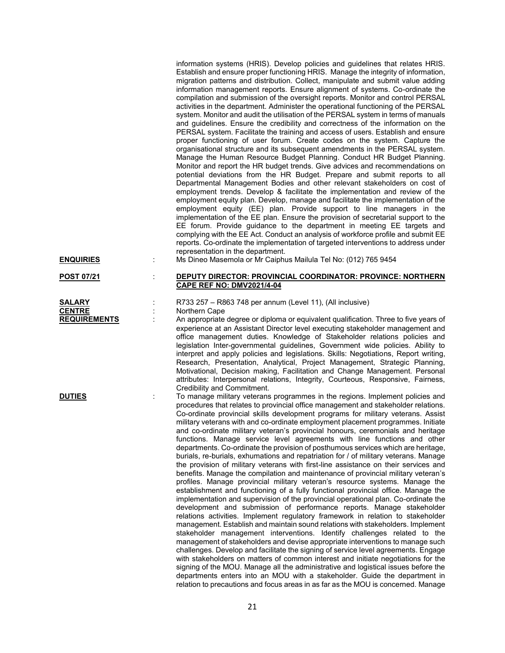information systems (HRIS). Develop policies and guidelines that relates HRIS. Establish and ensure proper functioning HRIS. Manage the integrity of information, migration patterns and distribution. Collect, manipulate and submit value adding information management reports. Ensure alignment of systems. Co-ordinate the compilation and submission of the oversight reports. Monitor and control PERSAL activities in the department. Administer the operational functioning of the PERSAL system. Monitor and audit the utilisation of the PERSAL system in terms of manuals and guidelines. Ensure the credibility and correctness of the information on the PERSAL system. Facilitate the training and access of users. Establish and ensure proper functioning of user forum. Create codes on the system. Capture the organisational structure and its subsequent amendments in the PERSAL system. Manage the Human Resource Budget Planning. Conduct HR Budget Planning. Monitor and report the HR budget trends. Give advices and recommendations on potential deviations from the HR Budget. Prepare and submit reports to all Departmental Management Bodies and other relevant stakeholders on cost of employment trends. Develop & facilitate the implementation and review of the employment equity plan. Develop, manage and facilitate the implementation of the employment equity (EE) plan. Provide support to line managers in the implementation of the EE plan. Ensure the provision of secretarial support to the EE forum. Provide guidance to the department in meeting EE targets and complying with the EE Act. Conduct an analysis of workforce profile and submit EE reports. Co-ordinate the implementation of targeted interventions to address under representation in the department. **ENQUIRIES** : Ms Dineo Masemola or Mr Caiphus Mailula Tel No: (012) 765 9454

**CENTRE** : Northern Cape<br> **REQUIREMENTS** : An appropriate

## **POST 07/21** : **DEPUTY DIRECTOR: PROVINCIAL COORDINATOR: PROVINCE: NORTHERN CAPE REF NO: DMV2021/4-04**

**SALARY** : R733 257 – R863 748 per annum (Level 11), (All inclusive)

An appropriate degree or diploma or equivalent qualification. Three to five years of experience at an Assistant Director level executing stakeholder management and office management duties. Knowledge of Stakeholder relations policies and legislation Inter-governmental guidelines, Government wide policies. Ability to interpret and apply policies and legislations. Skills: Negotiations, Report writing, Research, Presentation, Analytical, Project Management, Strategic Planning, Motivational, Decision making, Facilitation and Change Management. Personal attributes: Interpersonal relations, Integrity, Courteous, Responsive, Fairness, Credibility and Commitment.

**DUTIES** To manage military veterans programmes in the regions. Implement policies and procedures that relates to provincial office management and stakeholder relations. Co-ordinate provincial skills development programs for military veterans. Assist military veterans with and co-ordinate employment placement programmes. Initiate and co-ordinate military veteran's provincial honours, ceremonials and heritage functions. Manage service level agreements with line functions and other departments. Co-ordinate the provision of posthumous services which are heritage, burials, re-burials, exhumations and repatriation for / of military veterans. Manage the provision of military veterans with first-line assistance on their services and benefits. Manage the compilation and maintenance of provincial military veteran's profiles. Manage provincial military veteran's resource systems. Manage the establishment and functioning of a fully functional provincial office. Manage the implementation and supervision of the provincial operational plan. Co-ordinate the development and submission of performance reports. Manage stakeholder relations activities. Implement regulatory framework in relation to stakeholder management. Establish and maintain sound relations with stakeholders. Implement stakeholder management interventions. Identify challenges related to the management of stakeholders and devise appropriate interventions to manage such challenges. Develop and facilitate the signing of service level agreements. Engage with stakeholders on matters of common interest and initiate negotiations for the signing of the MOU. Manage all the administrative and logistical issues before the departments enters into an MOU with a stakeholder. Guide the department in relation to precautions and focus areas in as far as the MOU is concerned. Manage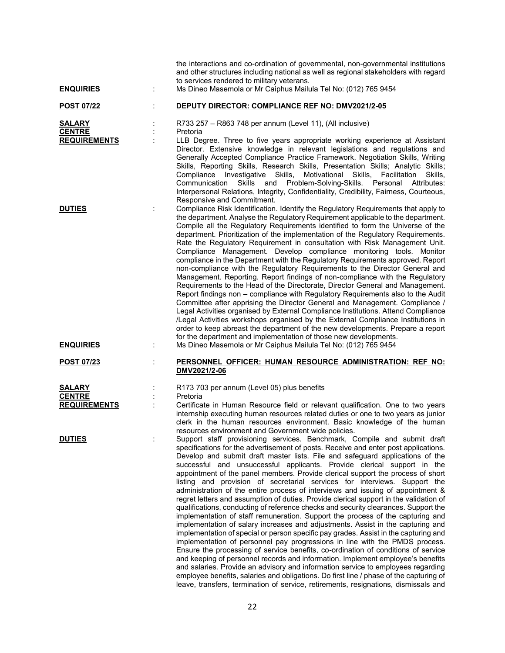| <b>ENQUIRIES</b>                                      | ÷ | the interactions and co-ordination of governmental, non-governmental institutions<br>and other structures including national as well as regional stakeholders with regard<br>to services rendered to military veterans.<br>Ms Dineo Masemola or Mr Caiphus Mailula Tel No: (012) 765 9454                                                                                                                                                                                                                                                                                                                                                                                                                                                                                                                                                                                                                                                                                                                                                                                                                                                                                                                                                                                                                                                                                                                                                                                                                                                                                                                       |
|-------------------------------------------------------|---|-----------------------------------------------------------------------------------------------------------------------------------------------------------------------------------------------------------------------------------------------------------------------------------------------------------------------------------------------------------------------------------------------------------------------------------------------------------------------------------------------------------------------------------------------------------------------------------------------------------------------------------------------------------------------------------------------------------------------------------------------------------------------------------------------------------------------------------------------------------------------------------------------------------------------------------------------------------------------------------------------------------------------------------------------------------------------------------------------------------------------------------------------------------------------------------------------------------------------------------------------------------------------------------------------------------------------------------------------------------------------------------------------------------------------------------------------------------------------------------------------------------------------------------------------------------------------------------------------------------------|
| <b>POST 07/22</b>                                     |   | DEPUTY DIRECTOR: COMPLIANCE REF NO: DMV2021/2-05                                                                                                                                                                                                                                                                                                                                                                                                                                                                                                                                                                                                                                                                                                                                                                                                                                                                                                                                                                                                                                                                                                                                                                                                                                                                                                                                                                                                                                                                                                                                                                |
| <b>SALARY</b><br><b>CENTRE</b><br><b>REQUIREMENTS</b> |   | R733 257 - R863 748 per annum (Level 11), (All inclusive)<br>Pretoria<br>LLB Degree. Three to five years appropriate working experience at Assistant<br>Director. Extensive knowledge in relevant legislations and regulations and<br>Generally Accepted Compliance Practice Framework. Negotiation Skills, Writing<br>Skills, Reporting Skills, Research Skills, Presentation Skills; Analytic Skills;<br>Compliance Investigative Skills, Motivational Skills,<br>Facilitation<br>Skills,<br>Communication<br>Skills<br>Problem-Solving-Skills. Personal<br>and<br>Attributes:<br>Interpersonal Relations, Integrity, Confidentiality, Credibility, Fairness, Courteous,<br>Responsive and Commitment.                                                                                                                                                                                                                                                                                                                                                                                                                                                                                                                                                                                                                                                                                                                                                                                                                                                                                                        |
| <b>DUTIES</b><br><b>ENQUIRIES</b>                     | ÷ | Compliance Risk Identification. Identify the Regulatory Requirements that apply to<br>the department. Analyse the Regulatory Requirement applicable to the department.<br>Compile all the Regulatory Requirements identified to form the Universe of the<br>department. Prioritization of the implementation of the Regulatory Requirements.<br>Rate the Regulatory Requirement in consultation with Risk Management Unit.<br>Compliance Management. Develop compliance monitoring tools. Monitor<br>compliance in the Department with the Regulatory Requirements approved. Report<br>non-compliance with the Regulatory Requirements to the Director General and<br>Management. Reporting. Report findings of non-compliance with the Regulatory<br>Requirements to the Head of the Directorate, Director General and Management.<br>Report findings non - compliance with Regulatory Requirements also to the Audit<br>Committee after apprising the Director General and Management. Compliance /<br>Legal Activities organised by External Compliance Institutions. Attend Compliance<br>/Legal Activities workshops organised by the External Compliance Institutions in<br>order to keep abreast the department of the new developments. Prepare a report<br>for the department and implementation of those new developments.<br>Ms Dineo Masemola or Mr Caiphus Mailula Tel No: (012) 765 9454                                                                                                                                                                                                          |
| <b>POST 07/23</b>                                     |   | PERSONNEL OFFICER: HUMAN RESOURCE ADMINISTRATION: REF NO:<br>DMV2021/2-06                                                                                                                                                                                                                                                                                                                                                                                                                                                                                                                                                                                                                                                                                                                                                                                                                                                                                                                                                                                                                                                                                                                                                                                                                                                                                                                                                                                                                                                                                                                                       |
| <b>SALARY</b><br><b>CENTRE</b><br><b>REQUIREMENTS</b> |   | R173 703 per annum (Level 05) plus benefits<br>Pretoria<br>Certificate in Human Resource field or relevant qualification. One to two years<br>internship executing human resources related duties or one to two years as junior<br>clerk in the human resources environment. Basic knowledge of the human                                                                                                                                                                                                                                                                                                                                                                                                                                                                                                                                                                                                                                                                                                                                                                                                                                                                                                                                                                                                                                                                                                                                                                                                                                                                                                       |
| <b>DUTIES</b>                                         | ÷ | resources environment and Government wide policies.<br>Support staff provisioning services. Benchmark, Compile and submit draft<br>specifications for the advertisement of posts. Receive and enter post applications.<br>Develop and submit draft master lists. File and safeguard applications of the<br>successful and unsuccessful applicants. Provide clerical support in the<br>appointment of the panel members. Provide clerical support the process of short<br>listing and provision of secretarial services for interviews. Support the<br>administration of the entire process of interviews and issuing of appointment &<br>regret letters and assumption of duties. Provide clerical support in the validation of<br>qualifications, conducting of reference checks and security clearances. Support the<br>implementation of staff remuneration. Support the process of the capturing and<br>implementation of salary increases and adjustments. Assist in the capturing and<br>implementation of special or person specific pay grades. Assist in the capturing and<br>implementation of personnel pay progressions in line with the PMDS process.<br>Ensure the processing of service benefits, co-ordination of conditions of service<br>and keeping of personnel records and information. Implement employee's benefits<br>and salaries. Provide an advisory and information service to employees regarding<br>employee benefits, salaries and obligations. Do first line / phase of the capturing of<br>leave, transfers, termination of service, retirements, resignations, dismissals and |